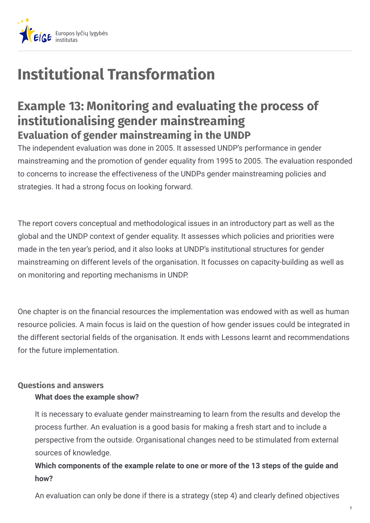

# **Institutional Transformation**

# **Example 13: Monitoring and evaluating the process of institutionalising gender mainstreaming Evaluation of gender mainstreaming in the UNDP**

The independent evaluation was done in 2005. It assessed UNDP's performance in gender mainstreaming and the promotion of gender equality from 1995 to 2005. The evaluation responded to concerns to increase the effectiveness of the UNDPs gender mainstreaming policies and strategies. It had a strong focus on looking forward.

The report covers conceptual and methodological issues in an introductory part as well as the global and the UNDP context of gender equality. It assesses which policies and priorities were made in the ten year's period, and it also looks at UNDP's institutional structures for gender mainstreaming on different levels of the organisation. It focusses on capacity-building as well as on monitoring and reporting mechanisms in UNDP.

One chapter is on the financial resources the implementation was endowed with as well as human resource policies. A main focus is laid on the question of how gender issues could be integrated in the different sectorial fields of the organisation. It ends with Lessons learnt and recommendations for the future implementation.

# **Questions and answers**

#### **What does the example show?**

It is necessary to evaluate gender mainstreaming to learn from the results and develop the process further. An evaluation is a good basis for making a fresh start and to include a perspective from the outside. Organisational changes need to be stimulated from external sources of knowledge.

# **Which components of the example relate to one or more of the 13 steps of the guide and how?**

An evaluation can only be done if there is a strategy (step 4) and clearly defined objectives